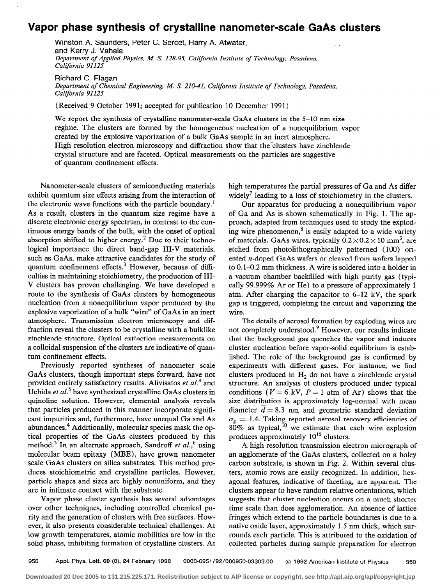## Vapor phase synthesis of crystalline nanometer-scale GaAs clusters

Winston A. Saunders, Peter C. Sercel, Harry A. Atwater, and Kerry J. Vahala Department of Applied Physics, M. S. 128-95, California Institute of Technology, Pasadena, California 91125

Richard C. Flagan Department of Chemical Engineering, M. S. 210-41, California Institute of Technology, Pasadena, California 91125

(Received 9 October 1991; accepted for publication 10 December 1991)

We report the synthesis of crystalline nanometer-scale GaAs clusters in the 5–10 nm size regime. The clusters are formed by the homogeneous- nucleation of a nonequilibrium vapor created by the explosive vaporization of a bulk GaAs sample in an inert atmosphere. High resolution electron microscopy and diffraction show that the-clusters have zincblende crystal structure and are faceted. Optical measurements on the particles are suggestive of quantum confinement effects.

Nanometer-scale clusters of semiconducting materials exhibit quantum size effects arising from the interaction of the electronic wave functions with the particle boundary.' As a result, clusters in the quantum size regime have a discrete electronic energy spectrum, in contrast to the continuous energy bands of the bulk, with the onset of optical absorption shifted to higher energy.<sup>2</sup> Due to their technological importance the direct band-gap III-V materials, such as GaAs, make attractive candidates for the study of quantum confinement effects.<sup>3</sup> However, because of difficulties in maintaining stoichiometry, the production of III-V clusters has proven challenging. We have developed a route to the synthesis of GaAs clusters by homogeneous nucleation from a nonequilibrium vapor produced by the explosive vaporization of a bulk "wire" of GaAs in an inert atmosphere. Transmission electron microscopy and diffraction reveal the clusters to be crystalline with a bulklike zincblende structure. Optical extinction measurements on a colloidal suspension of the clusters are indicative of quantum confinement effects.

Previously reported syntheses of nanometer scale GaAs clusters, though important steps forward, have not provided entirely satisfactory results. Alivisatos et al.<sup>4</sup> and Uchida et al.<sup>5</sup> have synthesized crystalline GaAs clusters in quinoline solution. However, elemental analysis reveals that particles produced in this manner incorporate significant impurities and, furthermore, have unequal Ga and As abundances.<sup>4</sup> Additionally, molecular species mask the optical properties of the GaAs clusters produced by this method.<sup>5</sup> In an alternate approach, Sandroff et al.,<sup>6</sup> using molecular beam epitaxy (MBE), have grown nanometer scale GaAs clusters on silica substrates. This method produces stoichiometric and crystalline particles. However, particle shapes and sizes are highly nonuniform, and they are in intimate contact with the.substrate.

Vapor phase cluster synthesis has several advantages over other techniques, including controlled chemical purity and the generation of clusters with free surfaces. However, it also presents considerable technical challenges. At low growth temperatures, atomic mobilities are low in the solid phase, inhibiting formation of crystalline clusters. At high temperatures the partial pressures of Ga and As differ widely<sup>7</sup> leading to a loss of stoichiometry in the clusters.

Our apparatus for producing a nonequilibrium vapor of Ga and As is shown schematically in Fig. 1. The approach, adapted from techniques used to study the exploding wire phenomenon, $<sup>8</sup>$  is easily adapted to a wide variety</sup> of materials. GaAs wires, typically  $0.2 \times 0.2 \times 10$  mm<sup>3</sup>, are etched from photolithographically patterned (100) oriented n-doped GaAs wafers or cleaved from wafers lapped to 0.1-0.2 mm thickness. A wire is soldered into a holder in a vacuum chamber backfilled with high purity gas (typically 99.999% Ar or He) to a pressure of approximately 1 atm. After charging the capacitor to 6-12 kV, the spark gap is triggered, completing the circuit and vaporizing the wire.

The details of aerosol formation by exploding wires are not completely understood.<sup>9</sup> However, our results indicate that the background gas quenches the vapor and induces cluster nucleation before vapor-solid equilibrium is established. The role of the background gas is confirmed by experiments with different gases. For instance, we find clusters produced in  $H_2$  do not have a zincblende crystal structure. An analysis of clusters produced under typical conditions ( $V= 6$  kV,  $P= 1$  atm of Ar) shows that the size distribution is approximately log-normal with mean diameter  $d = 8.3$  nm and geometric standard deviation  $\sigma_{\epsilon} = 1.4$ . Taking reported aerosol recovery efficiencies of 80% as typical," we estimate that each wire explosion produces approximately  $10^{15}$  clusters.

A high resolution transmission electron micrograph of an agglomerate of the GaAs clusters, collected on a holey carbon substrate, is shown in Fig. 2. Within several clusters, atomic rows are easily recognized. In addition, hexagonal features, indicative of faceting, are apparent. The clusters appear to have random relative orientations, which suggests that cluster nucleation occurs on a much shorter time scale than does agglomeration. An absence of lattice fringes which extend to the particle boundaries is due to a native oxide layer, approximately 1.5 nm thick, which surrounds each particle. This is attributed to the oxidation of collected particles during sample preparation for electron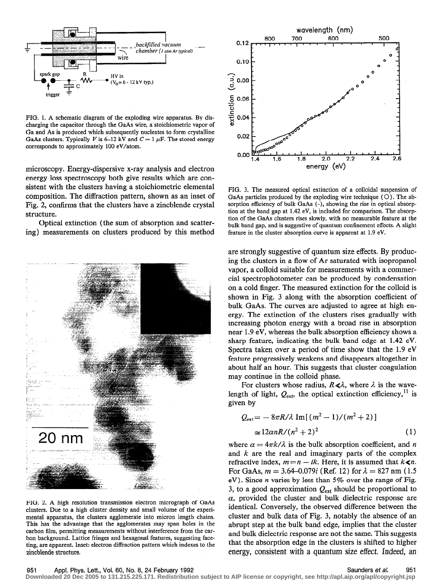

FIG. 1. A schematic diagram of the exploding wire apparatus. By discharging the capacitor through the GaAs wire, a stoichiometric vapor of Ga and As is produced which subsequently nucleates to form crystalline GaAs clusters. Typically V is 6-12 kV and  $C = 1 \mu F$ . The stored energy corresponds to approximately 100 eV/atom.

microscopy. Energy-dispersive x-ray analysis and electron energy loss spectroscopy both give results which are consistent with the clusters having a stoichiometric elemental composition. The diffraction pattern, shown as an inset of Fig. 2, confirms that the clusters have a zincblende crystal structure.

Optical extinction (the sum of absorption and scattering) measurements on clusters produced by this method



FIG. 2. A high resolution transmission electron micrograph of GaAs clusters. Due to a high cluster density and small volume of the experimental apparatus, the clusters agglomerate into micron length chains. This has the advantage that the agglomerates may span holes in the carbon film, permitting measurements without interference from the carbon background. Lattice fringes and hexagonal features, suggesting faceting, are apparent. Inset: electron diffraction pattern which indexes to the zincblende structure.



FIG. 3. The measured optical extinction of a colloidal suspension of GaAs particles produced by the exploding wire technique  $(O)$ . The absorption efficiency of bulk GaAs (-), showing the rise in optical absorption at the band gap at 1.42 eV, is included for comparison. The absorption of the GaAs clusters rises slowly, with no measurable feature at the bulk band gap, and is suggestive of quantum confinement effects. A slight feature in the cluster absorption curve is apparent at 1.9 eV.

are strongly suggestive of quantum size effects. By producing the clusters in a flow of Ar saturated with isopropanol vapor, a colloid suitable for measurements with a commercial spectrophotometer can be produced by condensation on a cold finger. The measured extinction for the colloid is shown in Fig. 3 along with the absorption coefficient of bulk GaAs. The curves are adjusted to agree at high energy. The extinction of the clusters rises gradually with increasing photon energy with a broad rise in absorption near 1.9 eV, whereas the bulk absorption efficiency shows a sharp feature, indicating the bulk band edge at 1.42 eV. Spectra taken over a period of time show that the 1.9 eV feature progressively weakens and disappears altogether in about half an hour. This suggests that cluster coagulation may continue in the colloid phase.

For clusters whose radius,  $R \ll \lambda$ , where  $\lambda$  is the wavelength of light,  $Q_{ext}$ , the optical extinction efficiency,<sup>11</sup> is given by

$$
Q_{\text{ext}} = -8\pi R/\lambda \operatorname{Im}[(m^2 - 1)/(m^2 + 2)]
$$
  
\n
$$
\approx 12\alpha nR/(n^2 + 2)^2
$$
 (1)

where  $\alpha = 4\pi k/\lambda$  is the bulk absorption coefficient, and n and  $k$  are the real and imaginary parts of the complex refractive index,  $m=n - ik$ . Here, it is assumed that  $k\le n$ . For GaAs,  $m = 3.64 - 0.079i$  (Ref. 12) for  $\lambda = 827$  nm (1.5) eV). Since  $n$  varies by less than 5% over the range of Fig. 3, to a good approximation  $Q_{\text{ext}}$  should be proportional to  $\alpha$ , provided the cluster and bulk dielectric response are identical. Conversely, the observed difference between the cluster and bulk data of Fig. 3, notably the absence of an abrupt step at the bulk band edge, implies that the cluster and bulk dielectric response are not the same. This suggests that the absorption edge in the clusters is shifted to higher energy, consistent with a quantum size effect. Indeed, an

951 Appl. Phys. Lett., Vol. 60, No. 8, 24 February 1992 Saunders et al. 951

**Downloaded 20 Dec 2005 to 131.215.225.171. Redistribution subject to AIP license or copyright, see http://apl.aip.org/apl/copyright.jsp**